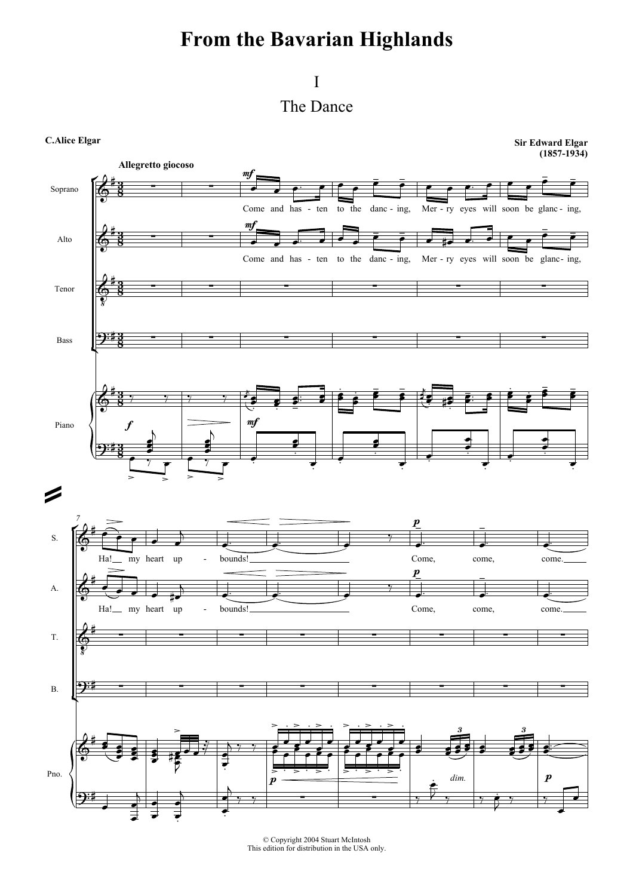## **From the Bavarian Highlands**

The Dance I



© Copyright 2004 Stuart McIntosh This edition for distribution in the USA only.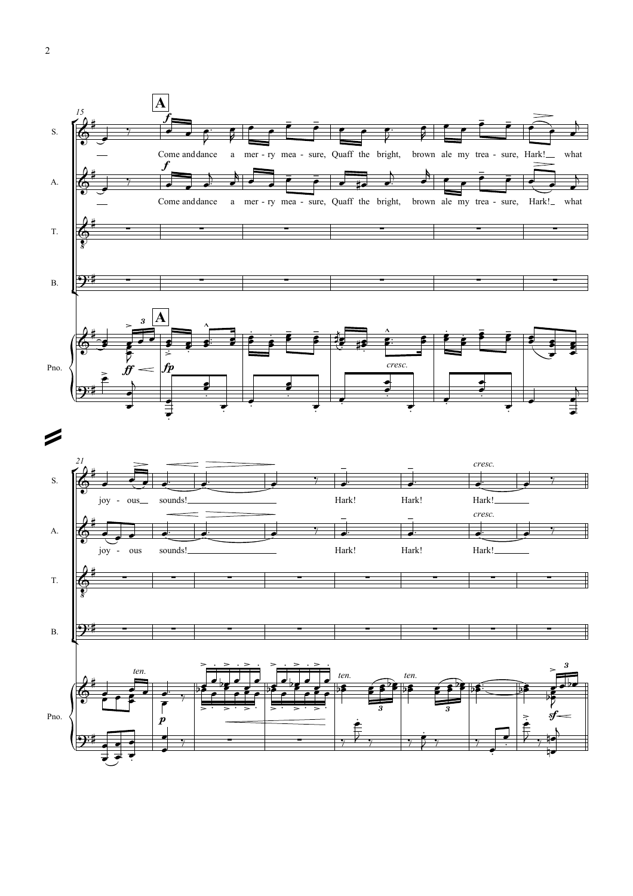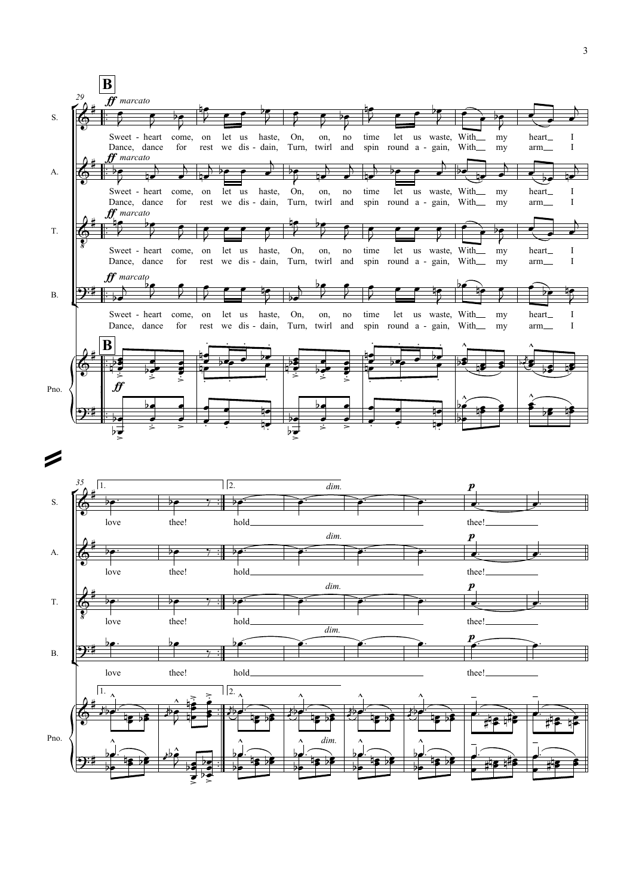

<sup>3</sup>

 $\tilde{\mathbf{z}}$ 

 $\leq$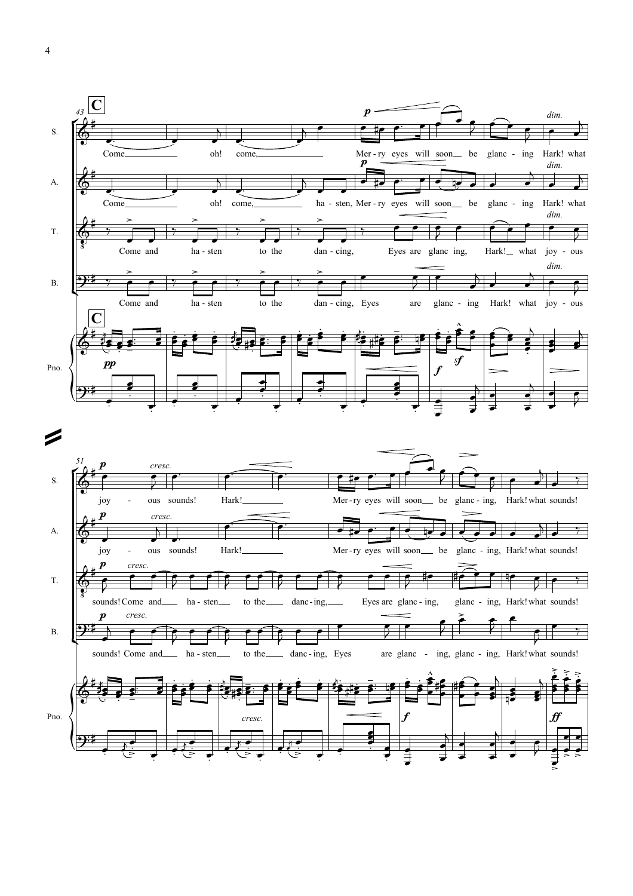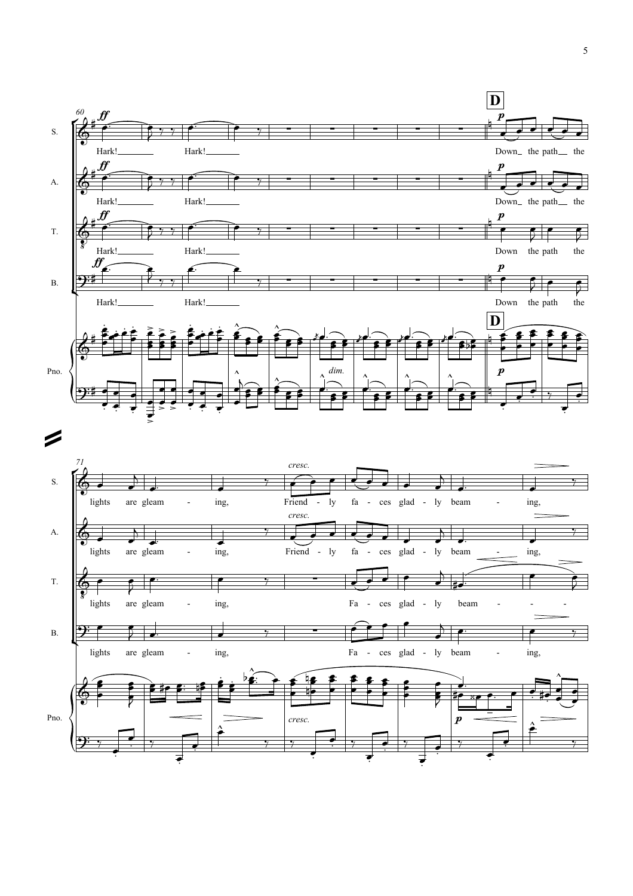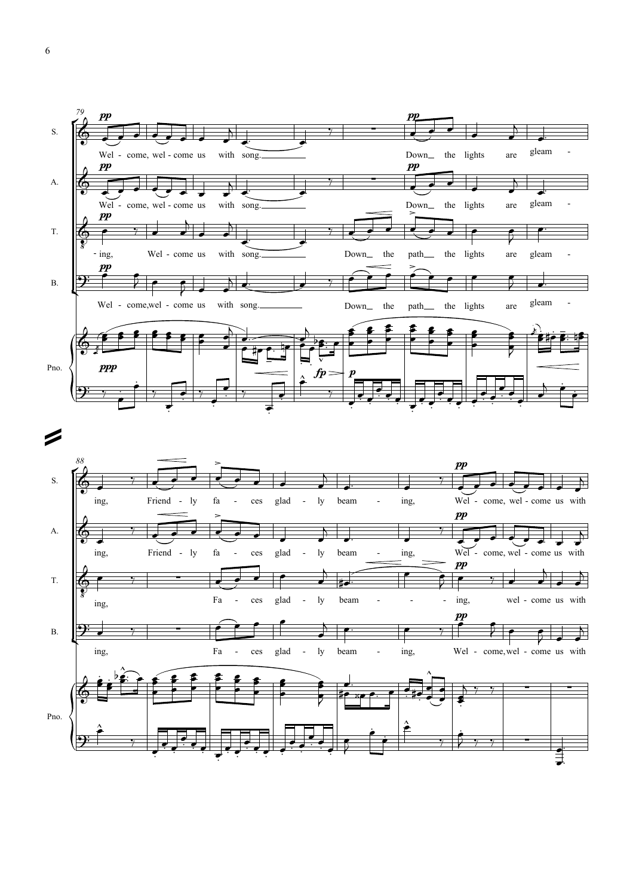

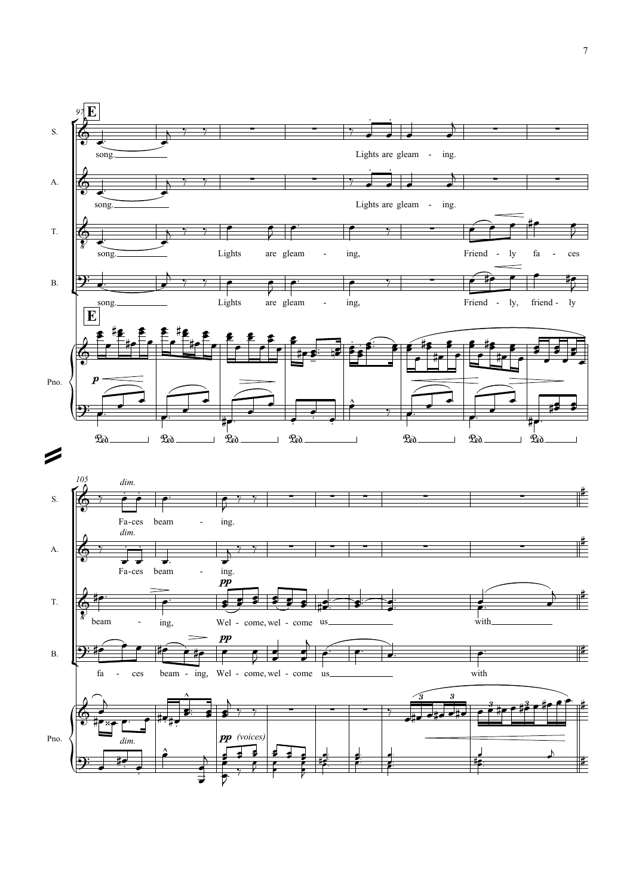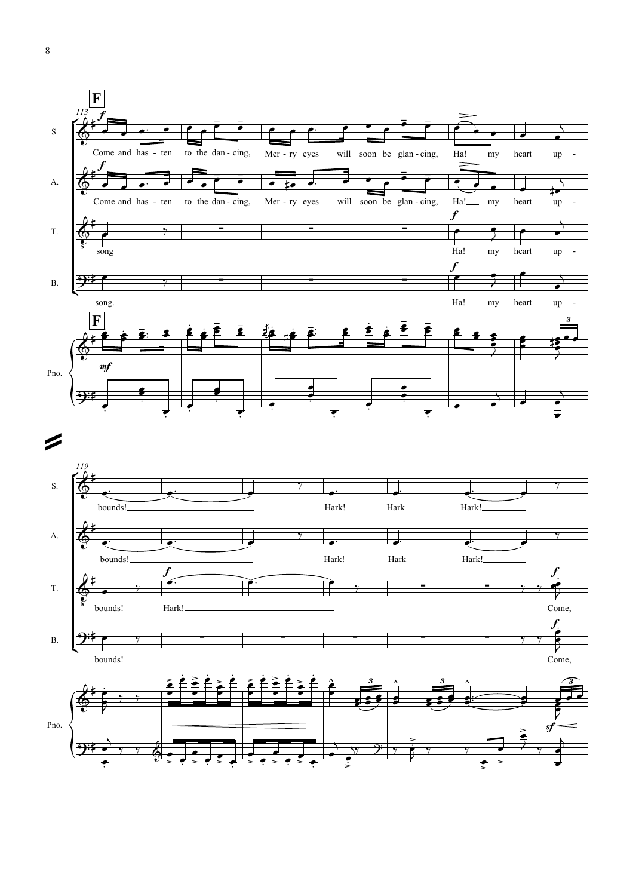

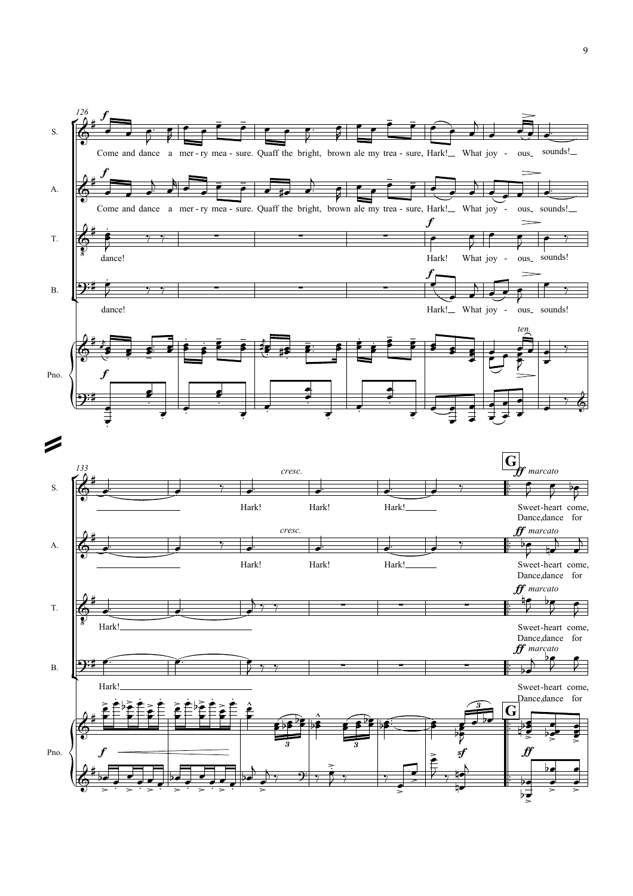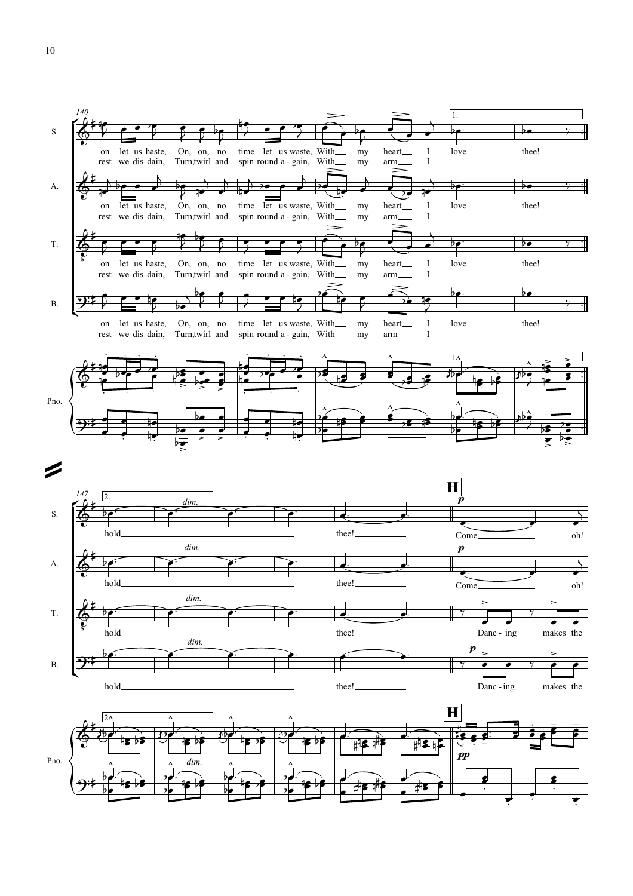

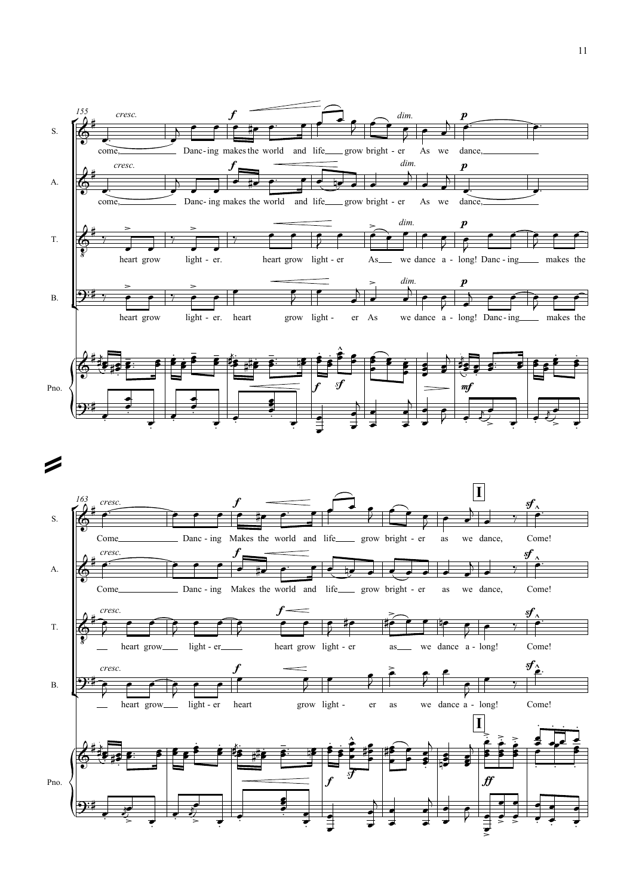